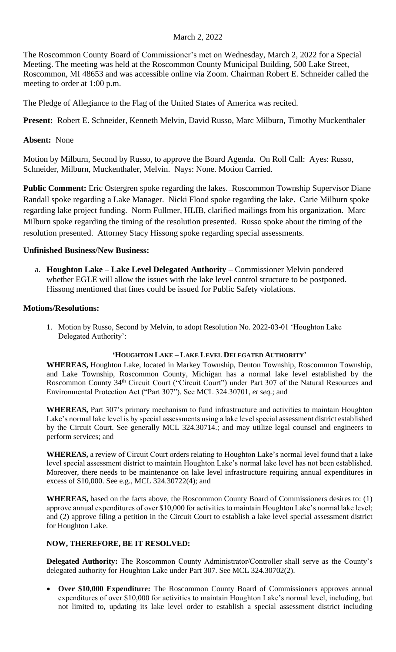### March 2, 2022

The Roscommon County Board of Commissioner's met on Wednesday, March 2, 2022 for a Special Meeting. The meeting was held at the Roscommon County Municipal Building, 500 Lake Street, Roscommon, MI 48653 and was accessible online via Zoom. Chairman Robert E. Schneider called the meeting to order at 1:00 p.m.

The Pledge of Allegiance to the Flag of the United States of America was recited.

**Present:** Robert E. Schneider, Kenneth Melvin, David Russo, Marc Milburn, Timothy Muckenthaler

## **Absent:** None

Motion by Milburn, Second by Russo, to approve the Board Agenda. On Roll Call: Ayes: Russo, Schneider, Milburn, Muckenthaler, Melvin. Nays: None. Motion Carried.

**Public Comment:** Eric Ostergren spoke regarding the lakes. Roscommon Township Supervisor Diane Randall spoke regarding a Lake Manager. Nicki Flood spoke regarding the lake. Carie Milburn spoke regarding lake project funding. Norm Fullmer, HLIB, clarified mailings from his organization. Marc Milburn spoke regarding the timing of the resolution presented. Russo spoke about the timing of the resolution presented. Attorney Stacy Hissong spoke regarding special assessments.

# **Unfinished Business/New Business:**

a. **Houghton Lake – Lake Level Delegated Authority –** Commissioner Melvin pondered whether EGLE will allow the issues with the lake level control structure to be postponed. Hissong mentioned that fines could be issued for Public Safety violations.

### **Motions/Resolutions:**

1. Motion by Russo, Second by Melvin, to adopt Resolution No. 2022-03-01 'Houghton Lake Delegated Authority':

### **'HOUGHTON LAKE – LAKE LEVEL DELEGATED AUTHORITY'**

**WHEREAS,** Houghton Lake, located in Markey Township, Denton Township, Roscommon Township, and Lake Township, Roscommon County, Michigan has a normal lake level established by the Roscommon County 34<sup>th</sup> Circuit Court ("Circuit Court") under Part 307 of the Natural Resources and Environmental Protection Act ("Part 307"). See MCL 324.30701, *et seq.*; and

**WHEREAS,** Part 307's primary mechanism to fund infrastructure and activities to maintain Houghton Lake's normal lake level is by special assessments using a lake level special assessment district established by the Circuit Court. See generally MCL 324.30714.; and may utilize legal counsel and engineers to perform services; and

**WHEREAS,** a review of Circuit Court orders relating to Houghton Lake's normal level found that a lake level special assessment district to maintain Houghton Lake's normal lake level has not been established. Moreover, there needs to be maintenance on lake level infrastructure requiring annual expenditures in excess of \$10,000. See e.g., MCL 324.30722(4); and

**WHEREAS,** based on the facts above, the Roscommon County Board of Commissioners desires to: (1) approve annual expenditures of over \$10,000 for activities to maintain Houghton Lake's normal lake level; and (2) approve filing a petition in the Circuit Court to establish a lake level special assessment district for Houghton Lake.

### **NOW, THEREFORE, BE IT RESOLVED:**

**Delegated Authority:** The Roscommon County Administrator/Controller shall serve as the County's delegated authority for Houghton Lake under Part 307. See MCL 324.30702(2).

• **Over \$10,000 Expenditure:** The Roscommon County Board of Commissioners approves annual expenditures of over \$10,000 for activities to maintain Houghton Lake's normal level, including, but not limited to, updating its lake level order to establish a special assessment district including